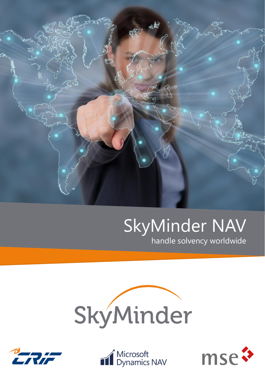

# SkyMinder NAV

handle solvency worldwide







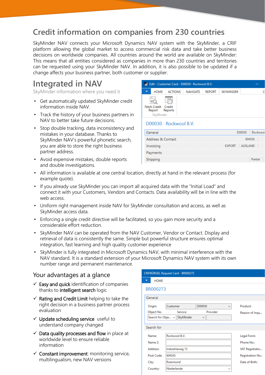## **Credit information on companies from 230 countries**

SkyMinder NAV connects your Microsoft Dynamics NAV system with the SkyMinder, a CRIF platform allowing the global market to access commercial risk data and take better business decisions on worldwide companies. All countries around the world are available on SkyMinder: This means that all entities considered as companies in more than 230 countries and territories can be requested using your SkyMinder NAV. In addition, it is also possible to be updated if a change affects your business partner, both customer or supplier.

# **Integrated in NAV**

SkyMinder information where you need it

- Get automatically updated SkyMinder credit information inside NAV.
- Track the history of your business partners in NAV to better take future decisions.
- Stop double tracking, data inconsistency and mistakes in your database. Thanks to SkyMinder NAV's powerful phonetic search, you are able to store the right business partner address.
- Avoid expensive mistakes, double reports and double investigations.

| Edit - Customer Card - D00030 · Rockwool B.V.         |             |                |                 |               |                  |                    |  |  |
|-------------------------------------------------------|-------------|----------------|-----------------|---------------|------------------|--------------------|--|--|
|                                                       | <b>HOME</b> | <b>ACTIONS</b> | <b>NAVIGATE</b> | <b>REPORT</b> | <b>SKYMINDER</b> |                    |  |  |
| Fetch Credit Credit<br>Report<br>Reports<br>SkyMinder |             |                |                 |               |                  |                    |  |  |
| D00030 · Rockwool B.V.                                |             |                |                 |               |                  |                    |  |  |
|                                                       | General     |                |                 |               |                  | D00030<br>Rockwool |  |  |
| Address & Contact                                     |             |                |                 |               |                  | 6045JG             |  |  |
| Invoicing                                             |             |                |                 |               | <b>EXPORT</b>    | <b>AUSLAND</b>     |  |  |
|                                                       | Payments    |                |                 |               |                  |                    |  |  |
|                                                       | Shipping    |                |                 |               |                  | Partial            |  |  |

- All information is available at one central location, directly at hand in the relevant process (for example quote).
- If you already use SkyMinder you can import all acquired data with the "Initial Load" and connect it with your Customers, Vendors and Contacts. Data availability will be in line with the web access.
- Uniform right management inside NAV for SkyMinder consultation and access, as well as SkyMinder access data.
- Enforcing a single credit directive will be facilitated, so you gain more security and a considerable effort reduction.
- SkyMinder NAV can be operated from the NAV Customer, Vendor or Contact. Display and retrieval of data is consistently the same. Simple but powerful structure ensures optimal integration, fast learning and high quality customer experience
- SkyMinder is fully integrated in Microsoft Dynamics NAV, with minimal interference with the NAV standard. It is a standard extension of your Microsoft Dynamics NAV system with its own number range and permanent maintenance.

## Your advantages at a glance

- $\checkmark$  Easy and quick identification of companies thanks to intelligent search logic
- $\checkmark$  Rating and Credit Limit helping to take the right decision in a business partner process evaluation
- $\checkmark$  Update scheduling service useful to understand company changed
- $\checkmark$  Data quality processes and flow in place at worldwide level to ensure reliable information
- $\checkmark$  Constant improvement: monitoring service, multilingualism, new NAV versions

| CRIFBÜRGEL Request Card - BR000273                                             |                                  |                                                    |                            |  |  |  |  |  |
|--------------------------------------------------------------------------------|----------------------------------|----------------------------------------------------|----------------------------|--|--|--|--|--|
| <b>HOME</b>                                                                    |                                  |                                                    |                            |  |  |  |  |  |
| BR000273                                                                       |                                  |                                                    |                            |  |  |  |  |  |
| General                                                                        |                                  |                                                    |                            |  |  |  |  |  |
| Customer<br>Origin:<br>Service<br>Object No.<br>Search for Obje ~<br>SkyMinder |                                  | D00030<br>$\checkmark$<br>Provider<br>$\checkmark$ | Product:<br>Reason of Inqu |  |  |  |  |  |
| Search for                                                                     |                                  |                                                    |                            |  |  |  |  |  |
| Name:<br>Name 2:                                                               | Rockwool B.V.<br>Industrieweg 15 |                                                    |                            |  |  |  |  |  |
| <b>Address:</b>                                                                | VAT Registratio                  |                                                    |                            |  |  |  |  |  |
| Post Code:                                                                     | Registration No.:                |                                                    |                            |  |  |  |  |  |
| City:                                                                          | Roermond                         | Date of Birth:                                     |                            |  |  |  |  |  |
| Country:                                                                       | Niederlande                      |                                                    |                            |  |  |  |  |  |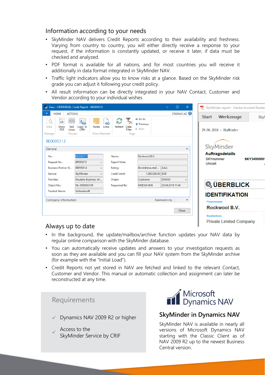## Information according to your needs

- SkyMinder NAV delivers Credit Reports according to their availability and freshness. Varying from country to country, you will either directly receive a response to your request, if the information is constantly updated, or receive it later, if data must be checked and analyzed.
- PDF format is available for all nations, and for most countries you will receive it additionally in data format integrated in SkyMinder NAV.
- Traffic light indicators allow you to know risks at a glance. Based on the SkyMinder risk grade you can adjust it following your credit policy.
- All result information can be directly integrated in your NAV Contact, Customer and Vendor according to your individual wishes

|                                                                                    | View - CRIFBÜRGEL Credit Report - BE0000312                 |                                                        |                                        |                  | $\times$<br>$\Box$  | SkyMinder report - Adobe Acrobat Reade              |                   |
|------------------------------------------------------------------------------------|-------------------------------------------------------------|--------------------------------------------------------|----------------------------------------|------------------|---------------------|-----------------------------------------------------|-------------------|
| <b>ACTIONS</b><br><b>HOME</b><br>$\overline{\phantom{0}}$                          |                                                             |                                                        | $\rightarrow$ Go to                    |                  | <b>CRONUS AG @</b>  | Werkzeuge<br><b>Start</b>                           | Sky               |
| Ш<br>View<br>Show<br>Text<br><b>PDF</b><br>Lines<br>Manage<br>Process<br>BE0000312 | 曷<br><b>Notes</b><br>Copy To<br><b>CRM</b><br>Show Attached | C<br>దు<br>Links<br>Refresh<br>Clear<br>Filter<br>Page | Previous<br>$\blacktriangleright$ Next |                  |                     | 29.06.2018 - SkyMinder                              |                   |
| General                                                                            |                                                             |                                                        |                                        |                  | $\hat{\phantom{a}}$ | SkyMinder                                           |                   |
| No.:                                                                               | BE0000312                                                   | Name:                                                  | Rockwool B.V.                          |                  |                     | <b>Auftragsdetails</b>                              |                   |
| Request No.:                                                                       | BR000272<br>$\checkmark$                                    | <b>Report Note:</b>                                    |                                        |                  |                     | <b>SKYnummer</b><br>Uhrzeit                         | <b>SKY3499000</b> |
| <b>Business Partner N</b>                                                          | BBP00014<br>$\checkmark$                                    | Rating:                                                | Bonitätsbeurteil                       | AAA              |                     |                                                     |                   |
| Service:                                                                           | SkyMinder<br>$\checkmark$                                   | Credit Limit:                                          | 1.000.000,00 EUR                       |                  |                     |                                                     |                   |
| Provider:                                                                          | Roularta Business Inf                                       | Origin:                                                | Customer                               | D00030           |                     |                                                     |                   |
| Object No.:                                                                        | NL-0000032199                                               | Requested By:                                          | <b>MSESWVJMS</b>                       | 29.06.2018 11:40 |                     | <b>QUERBLICK</b>                                    |                   |
| <b>Product Name:</b>                                                               | Vollauskunft                                                |                                                        |                                        |                  |                     | <b>IDENTIFIKATION</b>                               |                   |
| Company Information                                                                |                                                             |                                                        |                                        | Roermond city    | $\checkmark$        | <b>Firmenname</b>                                   |                   |
|                                                                                    |                                                             |                                                        |                                        |                  | Close               | Rockwool B.V.                                       |                   |
| منه والمناسبة المدينة والمتحدد والترام                                             |                                                             |                                                        |                                        |                  |                     | <b>Rechtsform</b><br><b>Private Limited Company</b> |                   |

### Always up to date

- In the background, the update/mailbox/archive function updates your NAV data by regular online comparison with the SkyMinder database.
- You can automatically receive updates and answers to your investigation requests as soon as they are available and you can fill your NAV system from the SkyMinder archive (for example with the "Initial Load").
- Credit Reports not yet stored in NAV are fetched and linked to the relevant Contact, Customer and Vendor. This manual or automatic collection and assignment can later be reconstructed at any time.

## Requirements

- ✓ Dynamics NAV 2009 R2 or higher
- ✓ Access to the SkyMinder Service by CRIF



## **SkyMinder in Dynamics NAV**

SkyMinder NAV is available in nearly all versions of Microsoft Dynamics NAV starting with the Classic Client as of NAV 2009 R2 up to the newest Business Central version.